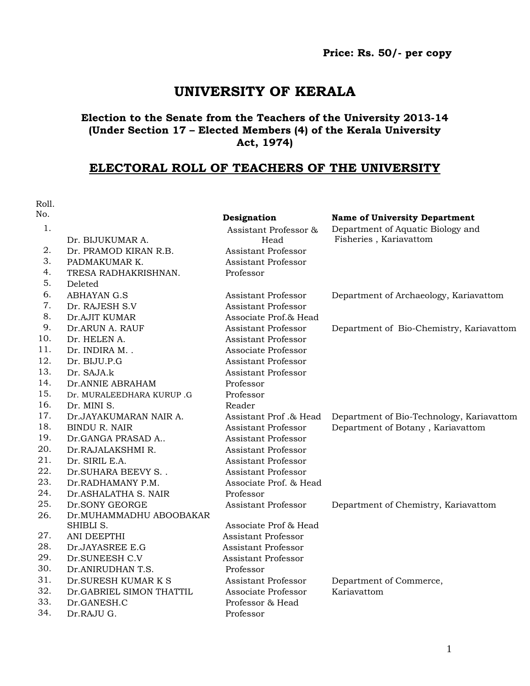## **UNIVERSITY OF KERALA**

## **Election to the Senate from the Teachers of the University 2013-14 (Under Section 17 – Elected Members (4) of the Kerala University Act, 1974)**

## **ELECTORAL ROLL OF TEACHERS OF THE UNIVERSITY**

Roll.

| No. |                           | Designation                | <b>Name of University Department</b>      |
|-----|---------------------------|----------------------------|-------------------------------------------|
| 1.  |                           | Assistant Professor &      | Department of Aquatic Biology and         |
|     | Dr. BIJUKUMAR A.          | Head                       | Fisheries, Kariavattom                    |
| 2.  | Dr. PRAMOD KIRAN R.B.     | Assistant Professor        |                                           |
| 3.  | PADMAKUMARK.              | <b>Assistant Professor</b> |                                           |
| 4.  | TRESA RADHAKRISHNAN.      | Professor                  |                                           |
| 5.  | Deleted                   |                            |                                           |
| 6.  | <b>ABHAYAN G.S</b>        | <b>Assistant Professor</b> | Department of Archaeology, Kariavattom    |
| 7.  | Dr. RAJESH S.V            | <b>Assistant Professor</b> |                                           |
| 8.  | Dr.AJIT KUMAR             | Associate Prof.& Head      |                                           |
| 9.  | Dr.ARUN A. RAUF           | Assistant Professor        | Department of Bio-Chemistry, Kariavattom  |
| 10. | Dr. HELEN A.              | <b>Assistant Professor</b> |                                           |
| 11. | Dr. INDIRA M. .           | Associate Professor        |                                           |
| 12. | Dr. BIJU.P.G              | Assistant Professor        |                                           |
| 13. | Dr. SAJA.k                | Assistant Professor        |                                           |
| 14. | Dr.ANNIE ABRAHAM          | Professor                  |                                           |
| 15. | Dr. MURALEEDHARA KURUP .G | Professor                  |                                           |
| 16. | Dr. MINI S.               | Reader                     |                                           |
| 17. | Dr.JAYAKUMARAN NAIR A.    | Assistant Prof.& Head      | Department of Bio-Technology, Kariavattom |
| 18. | <b>BINDU R. NAIR</b>      | Assistant Professor        | Department of Botany, Kariavattom         |
| 19. | Dr.GANGA PRASAD A         | Assistant Professor        |                                           |
| 20. | Dr.RAJALAKSHMIR.          | <b>Assistant Professor</b> |                                           |
| 21. | Dr. SIRIL E.A.            | <b>Assistant Professor</b> |                                           |
| 22. | Dr. SUHARA BEEVY S        | <b>Assistant Professor</b> |                                           |
| 23. | Dr.RADHAMANY P.M.         | Associate Prof. & Head     |                                           |
| 24. | Dr.ASHALATHA S. NAIR      | Professor                  |                                           |
| 25. | Dr.SONY GEORGE            | Assistant Professor        | Department of Chemistry, Kariavattom      |
| 26. | Dr.MUHAMMADHU ABOOBAKAR   |                            |                                           |
|     | SHIBLI S.                 | Associate Prof & Head      |                                           |
| 27. | ANI DEEPTHI               | Assistant Professor        |                                           |
| 28. | Dr.JAYASREE E.G           | Assistant Professor        |                                           |
| 29. | Dr.SUNEESH C.V            | Assistant Professor        |                                           |
| 30. | Dr.ANIRUDHAN T.S.         | Professor                  |                                           |
| 31. | Dr. SURESH KUMAR K S      | Assistant Professor        | Department of Commerce,                   |
| 32. | Dr.GABRIEL SIMON THATTIL  | Associate Professor        | Kariavattom                               |
| 33. | Dr.GANESH.C               | Professor & Head           |                                           |
| 34. | Dr.RAJU G.                | Professor                  |                                           |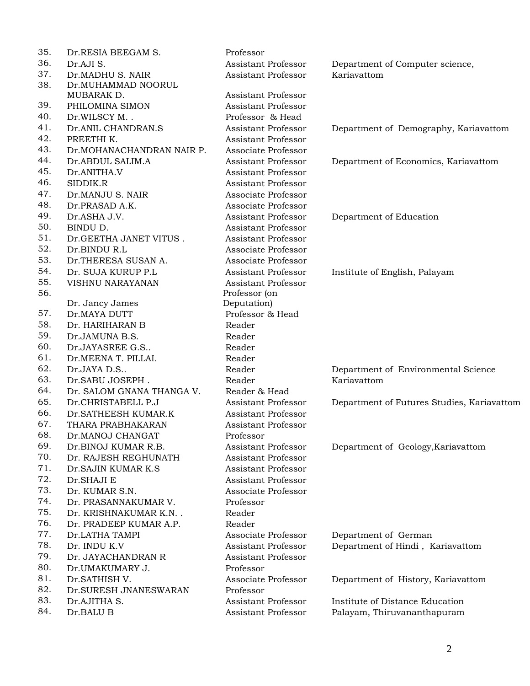| 35. | Dr.RESIA BEEGAM S.        | Professor                  |                                            |
|-----|---------------------------|----------------------------|--------------------------------------------|
| 36. | Dr.AJI S.                 | Assistant Professor        | Department of Computer science,            |
| 37. | Dr.MADHU S. NAIR          | <b>Assistant Professor</b> | Kariavattom                                |
| 38. | Dr.MUHAMMAD NOORUL        |                            |                                            |
|     | MUBARAK D.                | Assistant Professor        |                                            |
| 39. | PHILOMINA SIMON           | <b>Assistant Professor</b> |                                            |
| 40. | Dr.WILSCY M               | Professor & Head           |                                            |
| 41. | Dr.ANIL CHANDRAN.S        | Assistant Professor        | Department of Demography, Kariavattom      |
| 42. | PREETHI K.                | Assistant Professor        |                                            |
| 43. | Dr.MOHANACHANDRAN NAIR P. | Associate Professor        |                                            |
| 44. | Dr.ABDUL SALIM.A          | <b>Assistant Professor</b> | Department of Economics, Kariavattom       |
| 45. | Dr.ANITHA.V               | <b>Assistant Professor</b> |                                            |
| 46. | SIDDIK.R                  | <b>Assistant Professor</b> |                                            |
| 47. | Dr.MANJU S. NAIR          | Associate Professor        |                                            |
| 48. | Dr.PRASAD A.K.            | Associate Professor        |                                            |
| 49. | Dr.ASHA J.V.              | <b>Assistant Professor</b> | Department of Education                    |
| 50. | BINDU D.                  | <b>Assistant Professor</b> |                                            |
| 51. | Dr.GEETHA JANET VITUS.    | <b>Assistant Professor</b> |                                            |
| 52. | Dr.BINDU R.L              | Associate Professor        |                                            |
| 53. | Dr.THERESA SUSAN A.       | Associate Professor        |                                            |
| 54. | Dr. SUJA KURUP P.L        | Assistant Professor        | Institute of English, Palayam              |
| 55. | VISHNU NARAYANAN          | Assistant Professor        |                                            |
| 56. |                           | Professor (on              |                                            |
|     | Dr. Jancy James           | Deputation)                |                                            |
| 57. | Dr.MAYA DUTT              | Professor & Head           |                                            |
| 58. | Dr. HARIHARAN B           | Reader                     |                                            |
| 59. | Dr.JAMUNA B.S.            | Reader                     |                                            |
| 60. | Dr.JAYASREE G.S           | Reader                     |                                            |
| 61. | Dr.MEENA T. PILLAI.       | Reader                     |                                            |
| 62. | Dr.JAYA D.S               | Reader                     | Department of Environmental Science        |
| 63. | Dr.SABU JOSEPH.           | Reader                     | Kariavattom                                |
| 64. | Dr. SALOM GNANA THANGA V. | Reader & Head              |                                            |
| 65. | Dr.CHRISTABELL P.J        | Assistant Professor        | Department of Futures Studies, Kariavattom |
| 66. | Dr. SATHEESH KUMAR.K      | <b>Assistant Professor</b> |                                            |
| 67. | THARA PRABHAKARAN         | <b>Assistant Professor</b> |                                            |
| 68. | Dr.MANOJ CHANGAT          | Professor                  |                                            |
| 69. | Dr.BINOJ KUMAR R.B.       | Assistant Professor        | Department of Geology, Kariavattom         |
| 70. | Dr. RAJESH REGHUNATH      | <b>Assistant Professor</b> |                                            |
| 71. | Dr. SAJIN KUMAR K.S       | <b>Assistant Professor</b> |                                            |
| 72. | Dr.SHAJI E                | <b>Assistant Professor</b> |                                            |
| 73. | Dr. KUMAR S.N.            | Associate Professor        |                                            |
| 74. | Dr. PRASANNAKUMAR V.      | Professor                  |                                            |
| 75. | Dr. KRISHNAKUMAR K.N. .   | Reader                     |                                            |
| 76. | Dr. PRADEEP KUMAR A.P.    | Reader                     |                                            |
| 77. | Dr.LATHA TAMPI            | Associate Professor        | Department of German                       |
| 78. | Dr. INDU K.V              | <b>Assistant Professor</b> | Department of Hindi, Kariavattom           |
| 79. | Dr. JAYACHANDRAN R        | <b>Assistant Professor</b> |                                            |
| 80. | Dr.UMAKUMARY J.           | Professor                  |                                            |
| 81. | Dr.SATHISH V.             | Associate Professor        | Department of History, Kariavattom         |
| 82. | Dr.SURESH JNANESWARAN     | Professor                  |                                            |
| 83. | Dr.AJITHA S.              | <b>Assistant Professor</b> | Institute of Distance Education            |
| 84. | Dr.BALU B                 | Assistant Professor        | Palayam, Thiruvananthapuram                |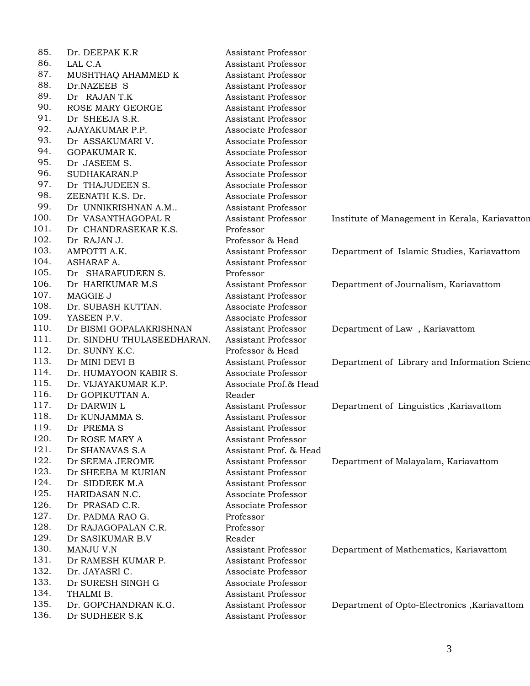| 85.  | Dr. DEEPAK K.R             | Assistant Professor        |                                                |
|------|----------------------------|----------------------------|------------------------------------------------|
| 86.  | LAL C.A                    | <b>Assistant Professor</b> |                                                |
| 87.  | MUSHTHAQ AHAMMED K         | <b>Assistant Professor</b> |                                                |
| 88.  | Dr.NAZEEB S                | <b>Assistant Professor</b> |                                                |
| 89.  | Dr RAJAN T.K               | Assistant Professor        |                                                |
| 90.  | <b>ROSE MARY GEORGE</b>    | Assistant Professor        |                                                |
| 91.  | Dr SHEEJA S.R.             | <b>Assistant Professor</b> |                                                |
| 92.  | AJAYAKUMAR P.P.            | Associate Professor        |                                                |
| 93.  | Dr ASSAKUMARI V.           | Associate Professor        |                                                |
| 94.  | GOPAKUMAR K.               | Associate Professor        |                                                |
| 95.  | Dr JASEEM S.               | Associate Professor        |                                                |
| 96.  | SUDHAKARAN.P               | Associate Professor        |                                                |
| 97.  | Dr THAJUDEEN S.            | Associate Professor        |                                                |
| 98.  | ZEENATH K.S. Dr.           | Associate Professor        |                                                |
| 99.  | Dr UNNIKRISHNAN A.M        | <b>Assistant Professor</b> |                                                |
| 100. | Dr VASANTHAGOPAL R         | Assistant Professor        | Institute of Management in Kerala, Kariavatton |
| 101. | Dr CHANDRASEKAR K.S.       | Professor                  |                                                |
| 102. | Dr RAJAN J.                | Professor & Head           |                                                |
| 103. | AMPOTTI A.K.               | <b>Assistant Professor</b> | Department of Islamic Studies, Kariavattom     |
| 104. | ASHARAF A.                 | <b>Assistant Professor</b> |                                                |
| 105. | Dr SHARAFUDEEN S.          | Professor                  |                                                |
| 106. | Dr HARIKUMAR M.S           | Assistant Professor        | Department of Journalism, Kariavattom          |
| 107. | MAGGIE J                   | <b>Assistant Professor</b> |                                                |
| 108. | Dr. SUBASH KUTTAN.         | Associate Professor        |                                                |
| 109. | YASEEN P.V.                | Associate Professor        |                                                |
| 110. | Dr BISMI GOPALAKRISHNAN    | Assistant Professor        | Department of Law, Kariavattom                 |
| 111. | Dr. SINDHU THULASEEDHARAN. | <b>Assistant Professor</b> |                                                |
| 112. | Dr. SUNNY K.C.             | Professor & Head           |                                                |
| 113. | Dr MINI DEVI B             | Assistant Professor        | Department of Library and Information Scienc   |
| 114. | Dr. HUMAYOON KABIR S.      | Associate Professor        |                                                |
| 115. | Dr. VIJAYAKUMAR K.P.       | Associate Prof.& Head      |                                                |
| 116. | Dr GOPIKUTTAN A.           | Reader                     |                                                |
| 117. | Dr DARWIN L                | Assistant Professor        | Department of Linguistics , Kariavattom        |
| 118. | Dr KUNJAMMA S.             | <b>Assistant Professor</b> |                                                |
| 119. | Dr PREMAS                  | Assistant Professor        |                                                |
| 120. | Dr ROSE MARY A             | Assistant Professor        |                                                |
| 121. | Dr SHANAVAS S.A            | Assistant Prof. & Head     |                                                |
| 122. | Dr SEEMA JEROME            | Assistant Professor        |                                                |
| 123. | Dr SHEEBA M KURIAN         | Assistant Professor        | Department of Malayalam, Kariavattom           |
| 124. |                            |                            |                                                |
| 125. | Dr SIDDEEK M.A             | Assistant Professor        |                                                |
| 126. | HARIDASAN N.C.             | Associate Professor        |                                                |
| 127. | Dr PRASAD C.R.             | Associate Professor        |                                                |
|      | Dr. PADMA RAO G.           | Professor                  |                                                |
| 128. | Dr RAJAGOPALAN C.R.        | Professor                  |                                                |
| 129. | Dr SASIKUMAR B.V           | Reader                     |                                                |
| 130. | MANJU V.N                  | <b>Assistant Professor</b> | Department of Mathematics, Kariavattom         |
| 131. | Dr RAMESH KUMAR P.         | <b>Assistant Professor</b> |                                                |
| 132. | Dr. JAYASRI C.             | Associate Professor        |                                                |
| 133. | Dr SURESH SINGH G          | Associate Professor        |                                                |
| 134. | THALMI B.                  | <b>Assistant Professor</b> |                                                |
| 135. | Dr. GOPCHANDRAN K.G.       | Assistant Professor        | Department of Opto-Electronics , Kariavattom   |
| 136. | Dr SUDHEER S.K             | Assistant Professor        |                                                |